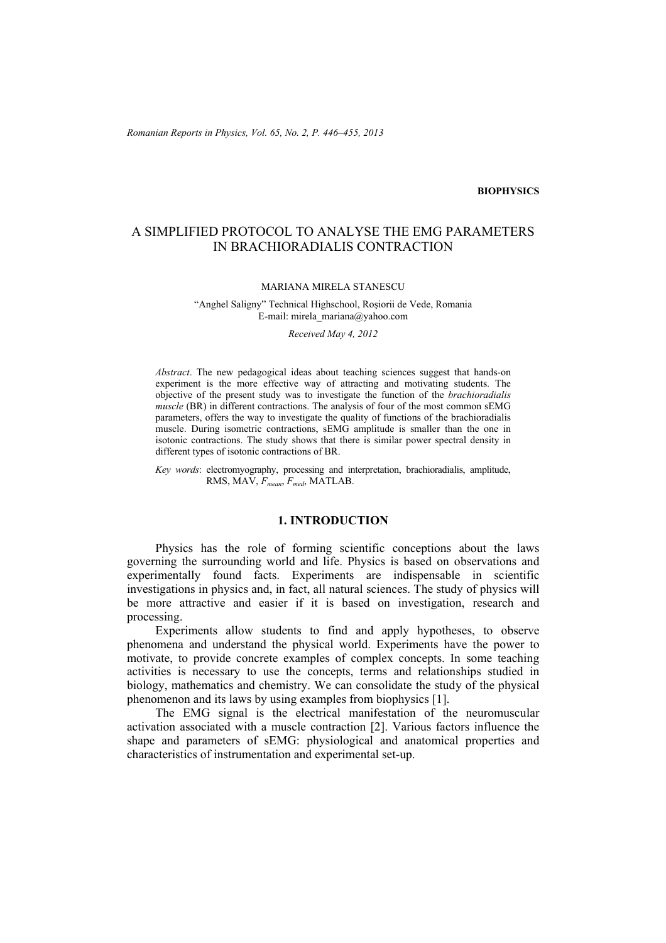## **BIOPHYSICS**

# A SIMPLIFIED PROTOCOL TO ANALYSE THE EMG PARAMETERS IN BRACHIORADIALIS CONTRACTION

### MARIANA MIRELA STANESCU

### "Anghel Saligny" Technical Highschool, Roşiorii de Vede, Romania E-mail: mirela\_mariana@yahoo.com

#### *Received May 4, 2012*

*Abstract*. The new pedagogical ideas about teaching sciences suggest that hands-on experiment is the more effective way of attracting and motivating students. The objective of the present study was to investigate the function of the *brachioradialis muscle* (BR) in different contractions. The analysis of four of the most common sEMG parameters, offers the way to investigate the quality of functions of the brachioradialis muscle. During isometric contractions, sEMG amplitude is smaller than the one in isotonic contractions. The study shows that there is similar power spectral density in different types of isotonic contractions of BR.

*Key words*: electromyography, processing and interpretation, brachioradialis, amplitude, RMS, MAV, *Fmean*, *Fmed*, MATLAB.

## **1. INTRODUCTION**

Physics has the role of forming scientific conceptions about the laws governing the surrounding world and life. Physics is based on observations and experimentally found facts. Experiments are indispensable in scientific investigations in physics and, in fact, all natural sciences. The study of physics will be more attractive and easier if it is based on investigation, research and processing.

 Experiments allow students to find and apply hypotheses, to observe phenomena and understand the physical world. Experiments have the power to motivate, to provide concrete examples of complex concepts. In some teaching activities is necessary to use the concepts, terms and relationships studied in biology, mathematics and chemistry. We can consolidate the study of the physical phenomenon and its laws by using examples from biophysics [1].

The EMG signal is the electrical manifestation of the neuromuscular activation associated with a muscle contraction [2]. Various factors influence the shape and parameters of sEMG: physiological and anatomical properties and characteristics of instrumentation and experimental set-up.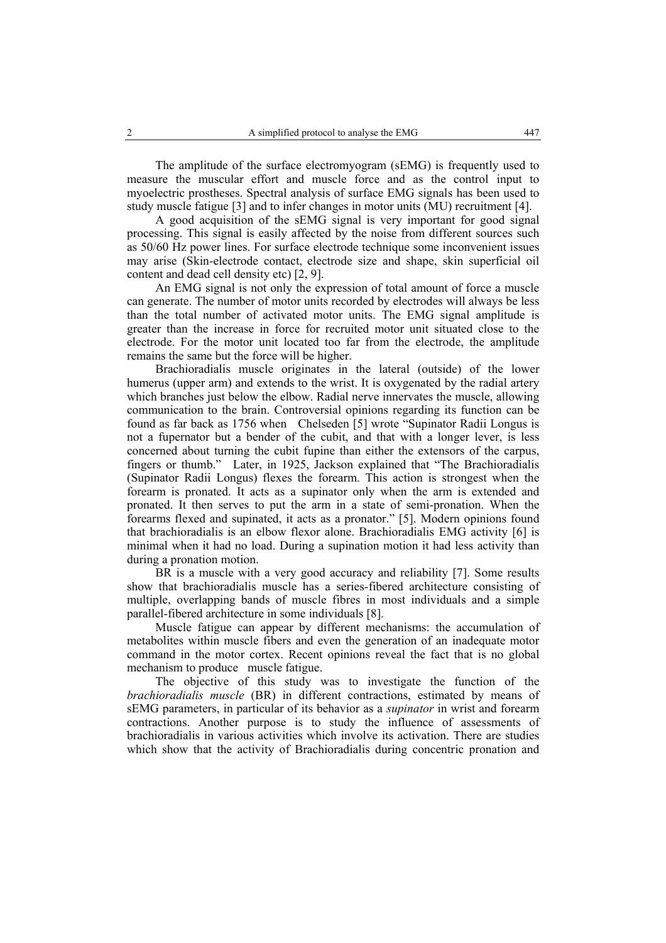The amplitude of the surface electromyogram (sEMG) is frequently used to measure the muscular effort and muscle force and as the control input to myoelectric prostheses. Spectral analysis of surface EMG signals has been used to study muscle fatigue [3] and to infer changes in motor units (MU) recruitment [4].

A good acquisition of the sEMG signal is very important for good signal processing. This signal is easily affected by the noise from different sources such as 50/60 Hz power lines. For surface electrode technique some inconvenient issues may arise (Skin-electrode contact, electrode size and shape, skin superficial oil content and dead cell density etc) [2, 9].

 An EMG signal is not only the expression of total amount of force a muscle can generate. The number of motor units recorded by electrodes will always be less than the total number of activated motor units. The EMG signal amplitude is greater than the increase in force for recruited motor unit situated close to the electrode. For the motor unit located too far from the electrode, the amplitude remains the same but the force will be higher.

Brachioradialis muscle originates in the lateral (outside) of the lower humerus (upper arm) and extends to the wrist. It is oxygenated by the radial artery which branches just below the elbow. Radial nerve innervates the muscle, allowing communication to the brain. Controversial opinions regarding its function can be found as far back as 1756 when Chelseden [5] wrote "Supinator Radii Longus is not a fupernator but a bender of the cubit, and that with a longer lever, is less concerned about turning the cubit fupine than either the extensors of the carpus, fingers or thumb." Later, in 1925, Jackson explained that "The Brachioradialis (Supinator Radii Longus) flexes the forearm. This action is strongest when the forearm is pronated. It acts as a supinator only when the arm is extended and pronated. It then serves to put the arm in a state of semi-pronation. When the forearms flexed and supinated, it acts as a pronator." [5]. Modern opinions found that brachioradialis is an elbow flexor alone. Brachioradialis EMG activity [6] is minimal when it had no load. During a supination motion it had less activity than during a pronation motion.

BR is a muscle with a very good accuracy and reliability [7]. Some results show that brachioradialis muscle has a series-fibered architecture consisting of multiple, overlapping bands of muscle fibres in most individuals and a simple parallel-fibered architecture in some individuals [8].

Muscle fatigue can appear by different mechanisms: the accumulation of metabolites within muscle fibers and even the generation of an inadequate motor command in the motor cortex. Recent opinions reveal the fact that is no global mechanism to produce muscle fatigue.

The objective of this study was to investigate the function of the *brachioradialis muscle* (BR) in different contractions, estimated by means of sEMG parameters, in particular of its behavior as a *supinator* in wrist and forearm contractions. Another purpose is to study the influence of assessments of brachioradialis in various activities which involve its activation. There are studies which show that the activity of Brachioradialis during concentric pronation and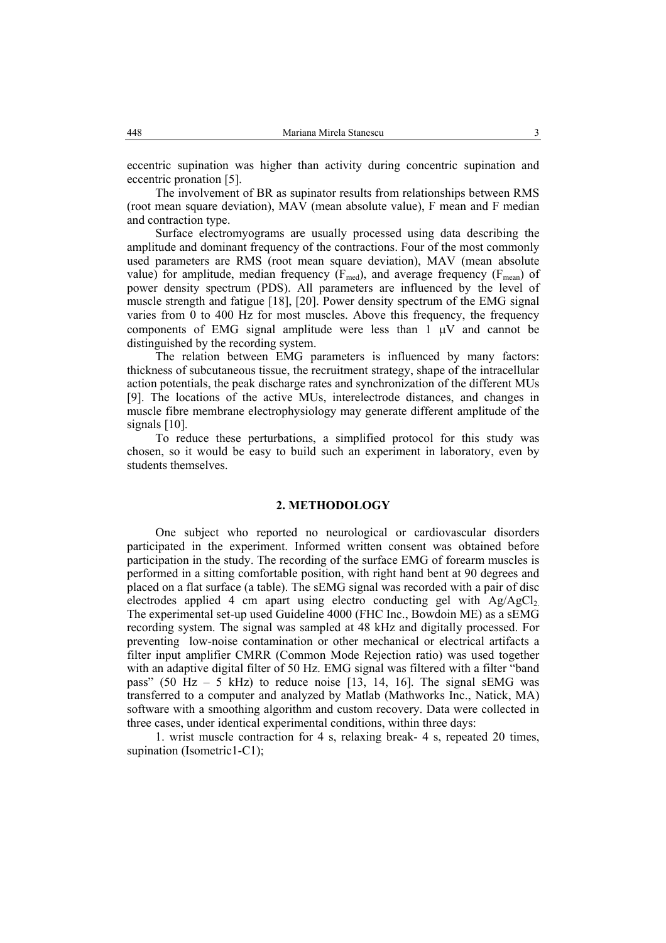eccentric supination was higher than activity during concentric supination and eccentric pronation [5].

The involvement of BR as supinator results from relationships between RMS (root mean square deviation), MAV (mean absolute value), F mean and F median and contraction type.

 Surface electromyograms are usually processed using data describing the amplitude and dominant frequency of the contractions. Four of the most commonly used parameters are RMS (root mean square deviation), MAV (mean absolute value) for amplitude, median frequency ( $F_{\text{med}}$ ), and average frequency ( $F_{\text{mean}}$ ) of power density spectrum (PDS). All parameters are influenced by the level of muscle strength and fatigue [18], [20]. Power density spectrum of the EMG signal varies from 0 to 400 Hz for most muscles. Above this frequency, the frequency components of EMG signal amplitude were less than  $1 \mu V$  and cannot be distinguished by the recording system.

The relation between EMG parameters is influenced by many factors: thickness of subcutaneous tissue, the recruitment strategy, shape of the intracellular action potentials, the peak discharge rates and synchronization of the different MUs [9]. The locations of the active MUs, interelectrode distances, and changes in muscle fibre membrane electrophysiology may generate different amplitude of the signals [10].

To reduce these perturbations, a simplified protocol for this study was chosen, so it would be easy to build such an experiment in laboratory, even by students themselves.

### **2. METHODOLOGY**

One subject who reported no neurological or cardiovascular disorders participated in the experiment. Informed written consent was obtained before participation in the study. The recording of the surface EMG of forearm muscles is performed in a sitting comfortable position, with right hand bent at 90 degrees and placed on a flat surface (a table). The sEMG signal was recorded with a pair of disc electrodes applied 4 cm apart using electro conducting gel with  $Ag/AgCl<sub>2</sub>$ . The experimental set-up used Guideline 4000 (FHC Inc., Bowdoin ME) as a sEMG recording system. The signal was sampled at 48 kHz and digitally processed. For preventing low-noise contamination or other mechanical or electrical artifacts a filter input amplifier CMRR (Common Mode Rejection ratio) was used together with an adaptive digital filter of 50 Hz. EMG signal was filtered with a filter "band" pass" (50 Hz – 5 kHz) to reduce noise [13, 14, 16]. The signal sEMG was transferred to a computer and analyzed by Matlab (Mathworks Inc., Natick, MA) software with a smoothing algorithm and custom recovery. Data were collected in three cases, under identical experimental conditions, within three days:

1. wrist muscle contraction for 4 s, relaxing break- 4 s, repeated 20 times, supination (Isometric1-C1);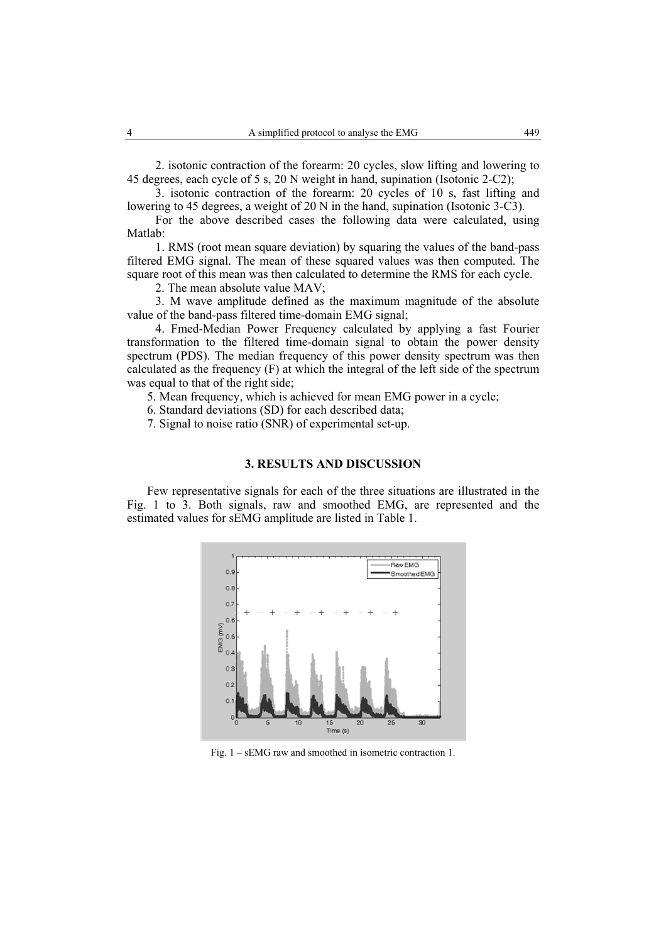2. isotonic contraction of the forearm: 20 cycles, slow lifting and lowering to 45 degrees, each cycle of 5 s, 20 N weight in hand, supination (Isotonic 2-C2);

3. isotonic contraction of the forearm: 20 cycles of 10 s, fast lifting and lowering to 45 degrees, a weight of 20 N in the hand, supination (Isotonic 3-C3).

For the above described cases the following data were calculated, using Matlab:

1. RMS (root mean square deviation) by squaring the values of the band-pass filtered EMG signal. The mean of these squared values was then computed. The square root of this mean was then calculated to determine the RMS for each cycle.

2. The mean absolute value MAV;

3. M wave amplitude defined as the maximum magnitude of the absolute value of the band-pass filtered time-domain EMG signal;

4. Fmed-Median Power Frequency calculated by applying a fast Fourier transformation to the filtered time-domain signal to obtain the power density spectrum (PDS). The median frequency of this power density spectrum was then calculated as the frequency (F) at which the integral of the left side of the spectrum was equal to that of the right side;

5. Mean frequency, which is achieved for mean EMG power in a cycle;

6. Standard deviations (SD) for each described data;

7. Signal to noise ratio (SNR) of experimental set-up.

## **3. RESULTS AND DISCUSSION**

Few representative signals for each of the three situations are illustrated in the Fig. 1 to 3. Both signals, raw and smoothed EMG, are represented and the estimated values for sEMG amplitude are listed in Table 1.



Fig. 1 – sEMG raw and smoothed in isometric contraction 1.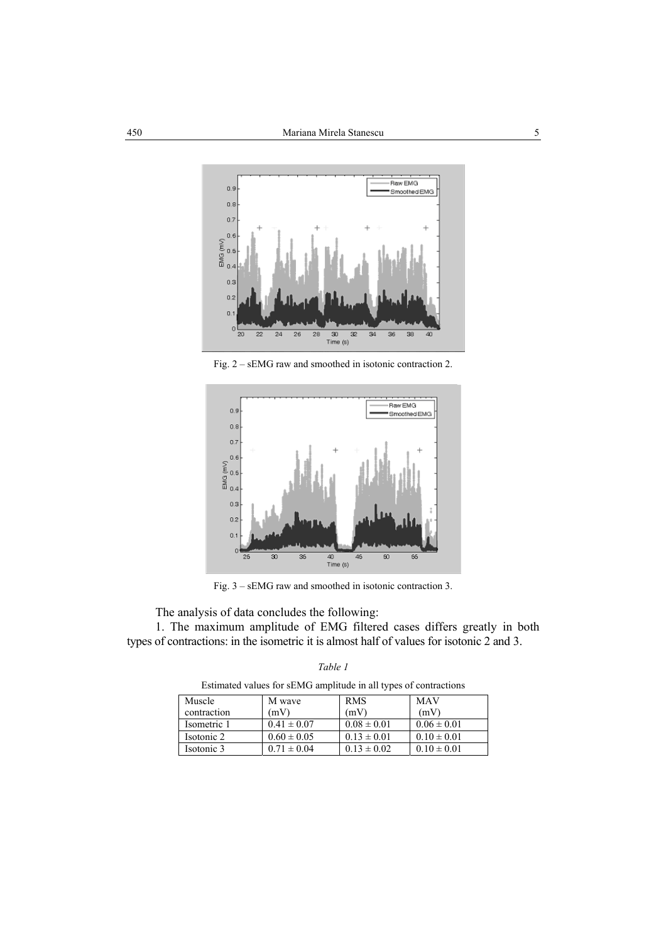

Fig. 2 – sEMG raw and smoothed in isotonic contraction 2.



Fig. 3 – sEMG raw and smoothed in isotonic contraction 3.

The analysis of data concludes the following:

1. The maximum amplitude of EMG filtered cases differs greatly in both types of contractions: in the isometric it is almost half of values for isotonic 2 and 3.

| Esumated values for service amplitude in all types of contractions |                 |                 |                 |  |
|--------------------------------------------------------------------|-----------------|-----------------|-----------------|--|
| Muscle                                                             | M wave          | <b>RMS</b>      | MAV             |  |
| contraction                                                        | (mV)            | (mV)            | (mV)            |  |
| Isometric 1                                                        | $0.41 \pm 0.07$ | $0.08 \pm 0.01$ | $0.06 \pm 0.01$ |  |
| Isotonic 2                                                         | $0.60 \pm 0.05$ | $0.13 \pm 0.01$ | $0.10 \pm 0.01$ |  |
| Isotonic 3                                                         | $0.71 \pm 0.04$ | $0.13 \pm 0.02$ | $0.10 \pm 0.01$ |  |

*Table 1*

Estimated values for sEMG amplitude in all types of contractions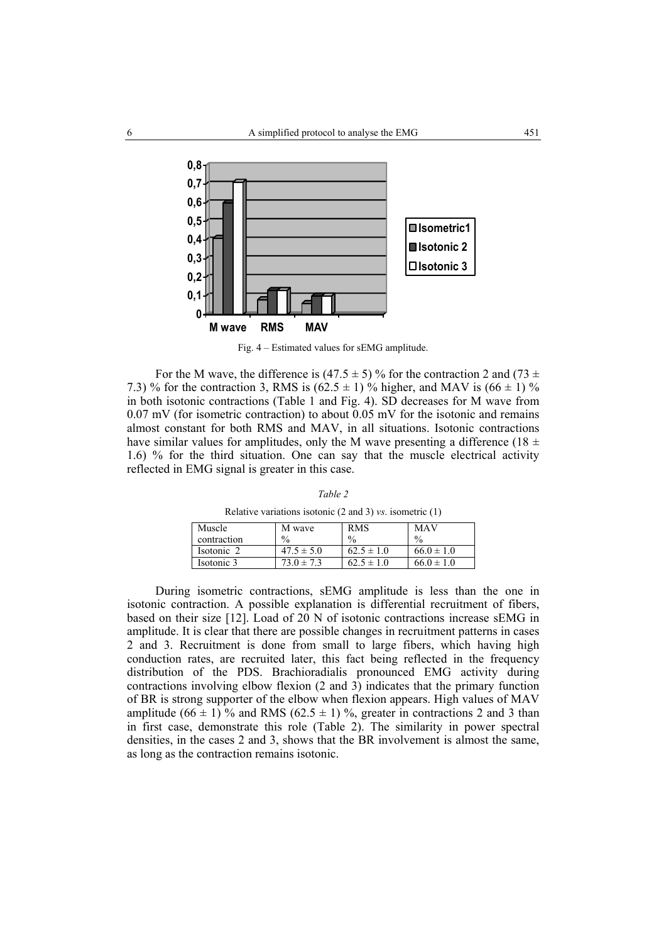

Fig. 4 – Estimated values for sEMG amplitude.

For the M wave, the difference is (47.5  $\pm$  5) % for the contraction 2 and (73  $\pm$ 7.3) % for the contraction 3, RMS is  $(62.5 \pm 1)$  % higher, and MAV is  $(66 \pm 1)$  % in both isotonic contractions (Table 1 and Fig. 4). SD decreases for M wave from 0.07 mV (for isometric contraction) to about 0.05 mV for the isotonic and remains almost constant for both RMS and MAV, in all situations. Isotonic contractions have similar values for amplitudes, only the M wave presenting a difference (18  $\pm$ 1.6) % for the third situation. One can say that the muscle electrical activity reflected in EMG signal is greater in this case.

*Table 2*

Relative variations isotonic (2 and 3) *vs*. isometric (1)

| Muscle      | M wave         | <b>RMS</b>     | MAV            |
|-------------|----------------|----------------|----------------|
| contraction | $\frac{0}{0}$  | $\frac{0}{0}$  | $\%$           |
| Isotonic 2  | $47.5 \pm 5.0$ | $62.5 \pm 1.0$ | $66.0 \pm 1.0$ |
| Isotonic 3  | $73.0 \pm 7.3$ | $62.5 \pm 1.0$ | $66.0 \pm 1.0$ |

During isometric contractions, sEMG amplitude is less than the one in isotonic contraction. A possible explanation is differential recruitment of fibers, based on their size [12]. Load of 20 N of isotonic contractions increase sEMG in amplitude. It is clear that there are possible changes in recruitment patterns in cases 2 and 3. Recruitment is done from small to large fibers, which having high conduction rates, are recruited later, this fact being reflected in the frequency distribution of the PDS. Brachioradialis pronounced EMG activity during contractions involving elbow flexion (2 and 3) indicates that the primary function of BR is strong supporter of the elbow when flexion appears. High values of MAV amplitude (66  $\pm$  1) % and RMS (62.5  $\pm$  1) %, greater in contractions 2 and 3 than in first case, demonstrate this role (Table 2). The similarity in power spectral densities, in the cases 2 and 3, shows that the BR involvement is almost the same, as long as the contraction remains isotonic.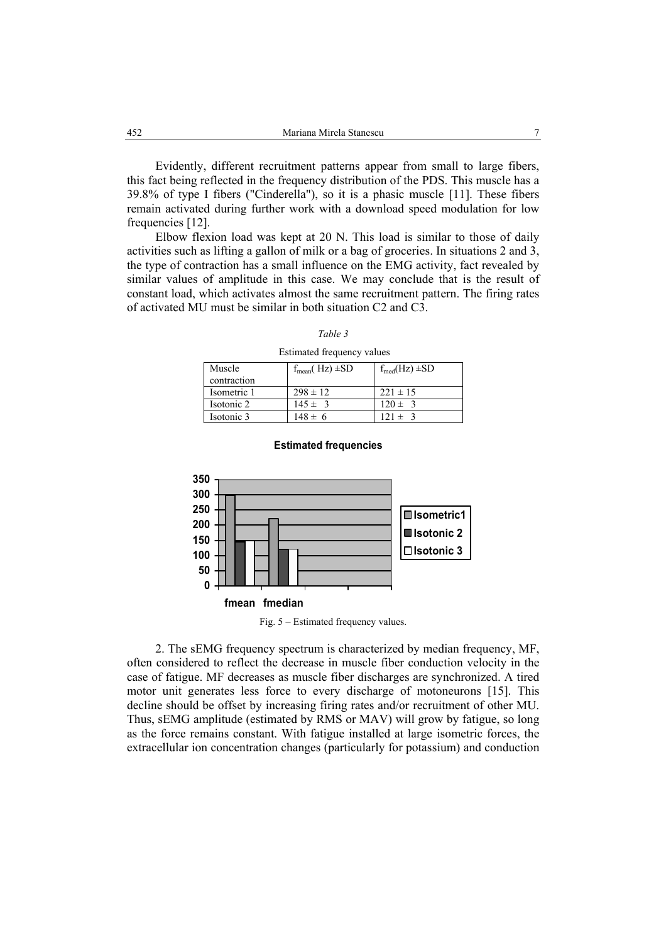Evidently, different recruitment patterns appear from small to large fibers, this fact being reflected in the frequency distribution of the PDS. This muscle has a 39.8% of type I fibers ("Cinderella"), so it is a phasic muscle [11]. These fibers remain activated during further work with a download speed modulation for low frequencies [12].

Elbow flexion load was kept at 20 N. This load is similar to those of daily activities such as lifting a gallon of milk or a bag of groceries. In situations 2 and 3, the type of contraction has a small influence on the EMG activity, fact revealed by similar values of amplitude in this case. We may conclude that is the result of constant load, which activates almost the same recruitment pattern. The firing rates of activated MU must be similar in both situation C2 and C3.

Estimated frequency values

| Muscle      | $f_{mean}( Hz) \pm SD$ | $f_{\text{med}}(Hz) \pm SD$ |
|-------------|------------------------|-----------------------------|
| contraction |                        |                             |
| Isometric 1 | $298 \pm 12$           | $221 \pm 15$                |
| Isotonic 2  | $145 \pm 3$            | $120 \pm 3$                 |
| Isotonic 3  | $148 \pm 6$            | $121 \pm 3$                 |



#### **Estimated frequencies**

Fig. 5 – Estimated frequency values.

2. The sEMG frequency spectrum is characterized by median frequency, MF, often considered to reflect the decrease in muscle fiber conduction velocity in the case of fatigue. MF decreases as muscle fiber discharges are synchronized. A tired motor unit generates less force to every discharge of motoneurons [15]. This decline should be offset by increasing firing rates and/or recruitment of other MU. Thus, sEMG amplitude (estimated by RMS or MAV) will grow by fatigue, so long as the force remains constant. With fatigue installed at large isometric forces, the extracellular ion concentration changes (particularly for potassium) and conduction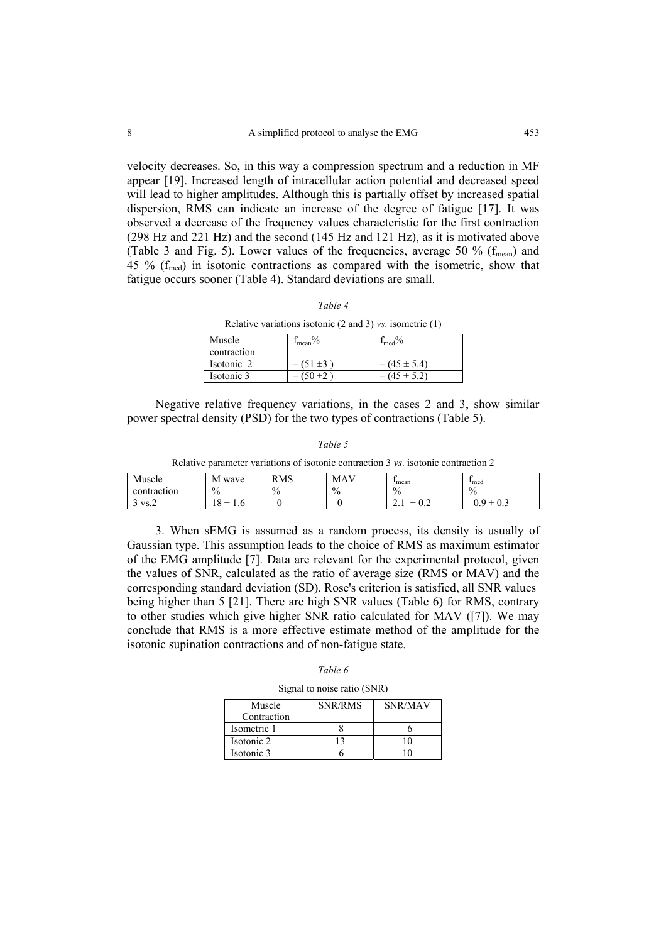velocity decreases. So, in this way a compression spectrum and a reduction in MF appear [19]. Increased length of intracellular action potential and decreased speed will lead to higher amplitudes. Although this is partially offset by increased spatial dispersion, RMS can indicate an increase of the degree of fatigue [17]. It was observed a decrease of the frequency values characteristic for the first contraction (298 Hz and 221 Hz) and the second (145 Hz and 121 Hz), as it is motivated above (Table 3 and Fig. 5). Lower values of the frequencies, average 50  $%$  ( $f_{mean}$ ) and 45 %  $(f_{\text{med}})$  in isotonic contractions as compared with the isometric, show that fatigue occurs sooner (Table 4). Standard deviations are small.

|--|--|

Relative variations isotonic (2 and 3) *vs*. isometric (1)

| Muscle      | $m$ ean $\%$  | $f_{\text{med}}$ % |
|-------------|---------------|--------------------|
| contraction |               |                    |
| Isotonic 2  | $-(51 \pm 3)$ | $-(45 \pm 5.4)$    |
| Isotonic 3  | $-(50±2)$     | $-(45 \pm 5.2)$    |

Negative relative frequency variations, in the cases 2 and 3, show similar power spectral density (PSD) for the two types of contractions (Table 5).

|--|

Relative parameter variations of isotonic contraction 3 *vs*. isotonic contraction 2

| Muscle      | М<br>wave | <b>RMS</b>     | <b>MAV</b>    | <sup>1</sup> <sub>mean</sub> | <sup>1</sup> <sub>med</sub> |
|-------------|-----------|----------------|---------------|------------------------------|-----------------------------|
| contraction | $\%$      | $\Omega$<br>70 | $\frac{0}{0}$ | $\frac{0}{0}$                | $\%$                        |
| $VS. \sim$  | 8<br>1. U |                |               | $\sim$ $\sim$<br>--<br>∪.∠   | $\Omega$<br>-<br>∪.⊃        |

3. When sEMG is assumed as a random process, its density is usually of Gaussian type. This assumption leads to the choice of RMS as maximum estimator of the EMG amplitude [7]. Data are relevant for the experimental protocol, given the values of SNR, calculated as the ratio of average size (RMS or MAV) and the corresponding standard deviation (SD). Rose's criterion is satisfied, all SNR values being higher than 5 [21]. There are high SNR values (Table 6) for RMS, contrary to other studies which give higher SNR ratio calculated for MAV ([7]). We may conclude that RMS is a more effective estimate method of the amplitude for the isotonic supination contractions and of non-fatigue state.

*Table 6* 

Signal to noise ratio (SNR)

| Muscle<br>Contraction | SNR/RMS | SNR/MAV |
|-----------------------|---------|---------|
| Isometric 1           |         |         |
| Isotonic 2            |         |         |
| Isotonic 3            |         |         |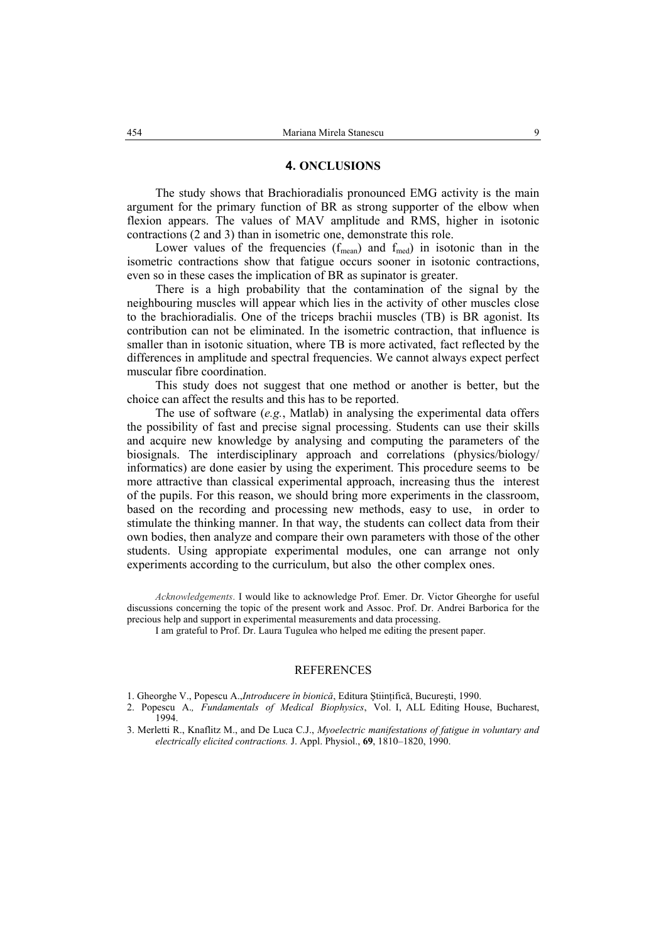## **4. ONCLUSIONS**

 The study shows that Brachioradialis pronounced EMG activity is the main argument for the primary function of BR as strong supporter of the elbow when flexion appears. The values of MAV amplitude and RMS, higher in isotonic contractions (2 and 3) than in isometric one, demonstrate this role.

Lower values of the frequencies  $(f_{mean})$  and  $f_{med}$  in isotonic than in the isometric contractions show that fatigue occurs sooner in isotonic contractions, even so in these cases the implication of BR as supinator is greater.

There is a high probability that the contamination of the signal by the neighbouring muscles will appear which lies in the activity of other muscles close to the brachioradialis. One of the triceps brachii muscles (TB) is BR agonist. Its contribution can not be eliminated. In the isometric contraction, that influence is smaller than in isotonic situation, where TB is more activated, fact reflected by the differences in amplitude and spectral frequencies. We cannot always expect perfect muscular fibre coordination.

This study does not suggest that one method or another is better, but the choice can affect the results and this has to be reported.

The use of software (*e.g.*, Matlab) in analysing the experimental data offers the possibility of fast and precise signal processing. Students can use their skills and acquire new knowledge by analysing and computing the parameters of the biosignals. The interdisciplinary approach and correlations (physics/biology/ informatics) are done easier by using the experiment. This procedure seems to be more attractive than classical experimental approach, increasing thus the interest of the pupils. For this reason, we should bring more experiments in the classroom, based on the recording and processing new methods, easy to use, in order to stimulate the thinking manner. In that way, the students can collect data from their own bodies, then analyze and compare their own parameters with those of the other students. Using appropiate experimental modules, one can arrange not only experiments according to the curriculum, but also the other complex ones.

*Acknowledgements*. I would like to acknowledge Prof. Emer. Dr. Victor Gheorghe for useful discussions concerning the topic of the present work and Assoc. Prof. Dr. Andrei Barborica for the precious help and support in experimental measurements and data processing.

I am grateful to Prof. Dr. Laura Tugulea who helped me editing the present paper.

## **REFERENCES**

- 1. Gheorghe V., Popescu A.,*Introducere în bionică*, Editura Ştiinţifică, Bucureşti, 1990.
- 2. Popescu A.*, Fundamentals of Medical Biophysics*, Vol. I, ALL Editing House, Bucharest, 1994.
- 3. Merletti R., Knaflitz M., and De Luca C.J., *Myoelectric manifestations of fatigue in voluntary and electrically elicited contractions.* J. Appl. Physiol., **69**, 1810–1820, 1990.